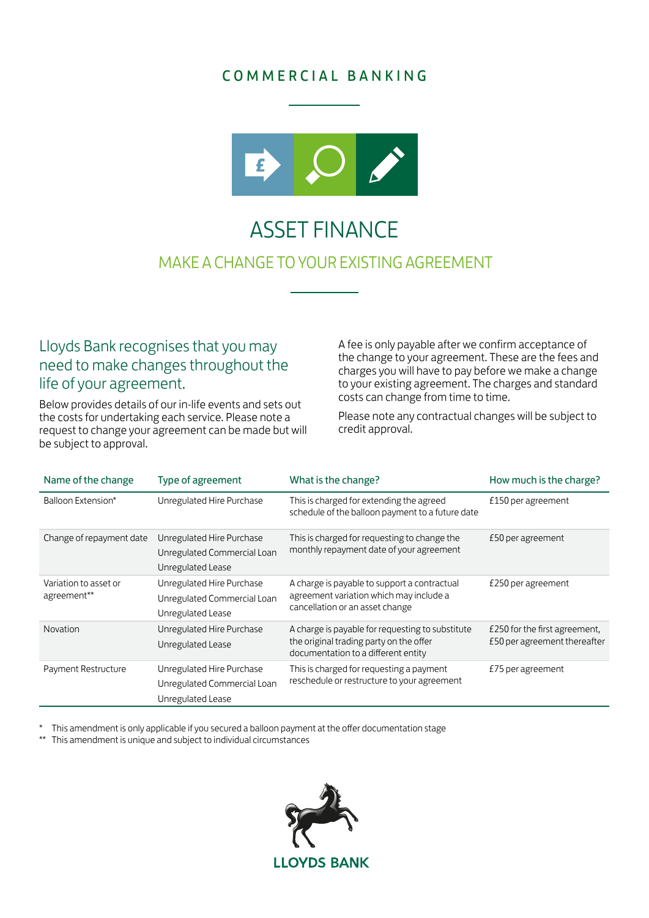## COMMERCIAL BANKING



# ASSET FINANCE MAKE A CHANGE TO YOUR EXISTING AGREEMENT

## Lloyds Bank recognises that you may need to make changes throughout the life of your agreement.

Below provides details of our in-life events and sets out the costs for undertaking each service. Please note a request to change your agreement can be made but will be subject to approval.

A fee is only payable after we confirm acceptance of the change to your agreement. These are the fees and charges you will have to pay before we make a change to your existing agreement. The charges and standard costs can change from time to time.

Please note any contractual changes will be subject to credit approval.

| Name of the change                   | Type of agreement                                                             | What is the change?                                                                                                                | How much is the charge?                                       |
|--------------------------------------|-------------------------------------------------------------------------------|------------------------------------------------------------------------------------------------------------------------------------|---------------------------------------------------------------|
| Balloon Extension*                   | Unregulated Hire Purchase                                                     | This is charged for extending the agreed<br>schedule of the balloon payment to a future date                                       | £150 per agreement                                            |
| Change of repayment date             | Unregulated Hire Purchase<br>Unregulated Commercial Loan<br>Unregulated Lease | This is charged for requesting to change the<br>monthly repayment date of your agreement                                           | £50 per agreement                                             |
| Variation to asset or<br>agreement** | Unregulated Hire Purchase<br>Unregulated Commercial Loan<br>Unregulated Lease | A charge is payable to support a contractual<br>agreement variation which may include a<br>cancellation or an asset change         | £250 per agreement                                            |
| Novation                             | Unregulated Hire Purchase<br>Unregulated Lease                                | A charge is payable for requesting to substitute<br>the original trading party on the offer<br>documentation to a different entity | £250 for the first agreement,<br>£50 per agreement thereafter |
| Payment Restructure                  | Unregulated Hire Purchase<br>Unregulated Commercial Loan<br>Unregulated Lease | This is charged for requesting a payment<br>reschedule or restructure to your agreement                                            | £75 per agreement                                             |

\* This amendment is only applicable if you secured a balloon payment at the offer documentation stage<br>\*\* This amendment is unique and subject to individual circumstances

This amendment is unique and subject to individual circumstances